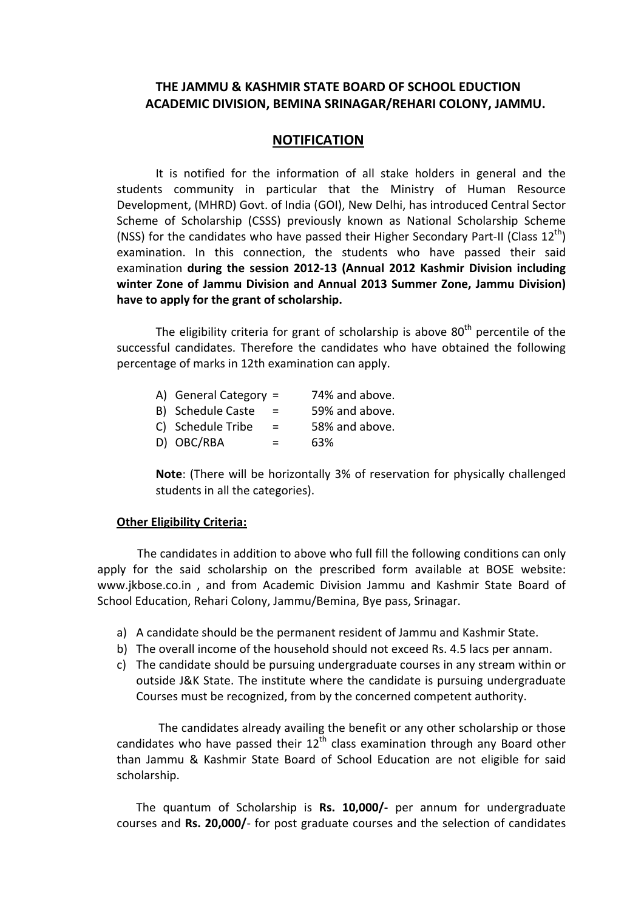## **THE JAMMU & KASHMIR STATE BOARD OF SCHOOL EDUCTION ACADEMIC DIVISION, BEMINA SRINAGAR/REHARI COLONY, JAMMU.**

## **NOTIFICATION**

It is notified for the information of all stake holders in general and the students community in particular that the Ministry of Human Resource Development, (MHRD) Govt. of India (GOI), New Delhi, has introduced Central Sector Scheme of Scholarship (CSSS) previously known as National Scholarship Scheme (NSS) for the candidates who have passed their Higher Secondary Part-II (Class  $12^{th}$ ) examination. In this connection, the students who have passed their said examination **during the session 2012-13 (Annual 2012 Kashmir Division including winter Zone of Jammu Division and Annual 2013 Summer Zone, Jammu Division) have to apply for the grant of scholarship.**

The eligibility criteria for grant of scholarship is above  $80<sup>th</sup>$  percentile of the successful candidates. Therefore the candidates who have obtained the following percentage of marks in 12th examination can apply.

| A) General Category $=$ |     | 74% and above. |
|-------------------------|-----|----------------|
| B) Schedule Caste       | $=$ | 59% and above. |
| C) Schedule Tribe       | $=$ | 58% and above. |
| D) OBC/RBA              | $=$ | 63%            |

**Note**: (There will be horizontally 3% of reservation for physically challenged students in all the categories).

## **Other Eligibility Criteria:**

 The candidates in addition to above who full fill the following conditions can only apply for the said scholarship on the prescribed form available at BOSE website: www.jkbose.co.in , and from Academic Division Jammu and Kashmir State Board of School Education, Rehari Colony, Jammu/Bemina, Bye pass, Srinagar.

- a) A candidate should be the permanent resident of Jammu and Kashmir State.
- b) The overall income of the household should not exceed Rs. 4.5 lacs per annam.
- c) The candidate should be pursuing undergraduate courses in any stream within or outside J&K State. The institute where the candidate is pursuing undergraduate Courses must be recognized, from by the concerned competent authority.

The candidates already availing the benefit or any other scholarship or those candidates who have passed their  $12<sup>th</sup>$  class examination through any Board other than Jammu & Kashmir State Board of School Education are not eligible for said scholarship.

The quantum of Scholarship is **Rs. 10,000/-** per annum for undergraduate courses and **Rs. 20,000/**- for post graduate courses and the selection of candidates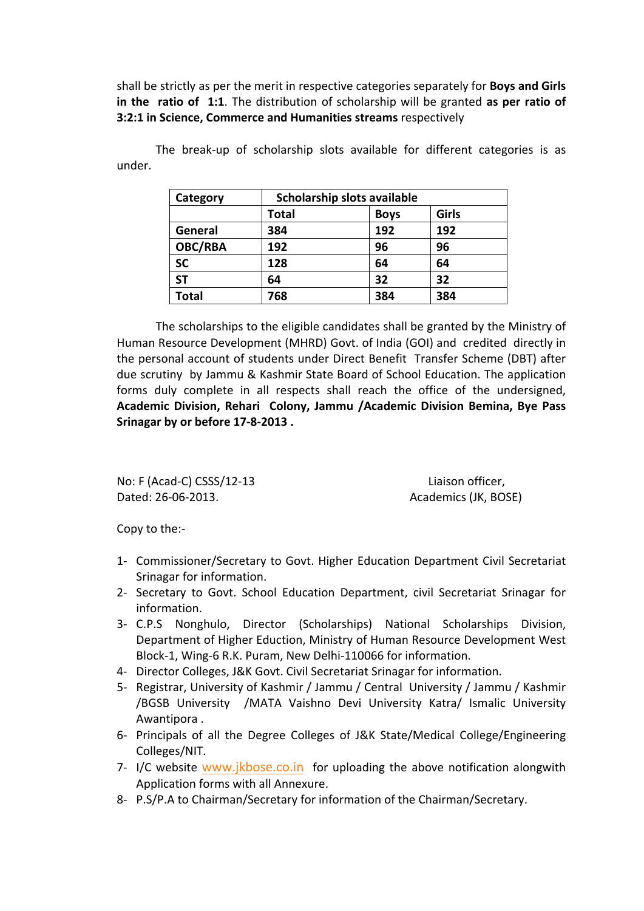shall be strictly as per the merit in respective categories separately for **Boys and Girls in the ratio of 1:1**. The distribution of scholarship will be granted **as per ratio of 3:2:1 in Science, Commerce and Humanities streams** respectively

> Category | Scholarship slots available **Total Boys Girls General 384 192 192 OBC/RBA 192 96 96 SC 128 64 64 ST 64 32 32 Total 768 384 384**

The break-up of scholarship slots available for different categories is as under.

The scholarships to the eligible candidates shall be granted by the Ministry of Human Resource Development (MHRD) Govt. of India (GOI) and credited directly in the personal account of students under Direct Benefit Transfer Scheme (DBT) after due scrutiny by Jammu & Kashmir State Board of School Education. The application forms duly complete in all respects shall reach the office of the undersigned, **Academic Division, Rehari Colony, Jammu /Academic Division Bemina, Bye Pass Srinagar by or before 17-8-2013 .**

No: F (Acad-C) CSSS/12-13 Liaison officer, Dated: 26-06-2013. Academics (JK, BOSE)

Copy to the:-

- 1- Commissioner/Secretary to Govt. Higher Education Department Civil Secretariat Srinagar for information.
- 2- Secretary to Govt. School Education Department, civil Secretariat Srinagar for information.
- 3- C.P.S Nonghulo, Director (Scholarships) National Scholarships Division, Department of Higher Eduction, Ministry of Human Resource Development West Block-1, Wing-6 R.K. Puram, New Delhi-110066 for information.
- 4- Director Colleges, J&K Govt. Civil Secretariat Srinagar for information.
- 5- Registrar, University of Kashmir / Jammu / Central University / Jammu / Kashmir /BGSB University /MATA Vaishno Devi University Katra/ Ismalic University Awantipora .
- 6- Principals of all the Degree Colleges of J&K State/Medical College/Engineering Colleges/NIT.
- 7- I/C website [www.jkbose.co.in](http://www.jkbose.co.in/) for uploading the above notification alongwith Application forms with all Annexure.
- 8- P.S/P.A to Chairman/Secretary for information of the Chairman/Secretary.